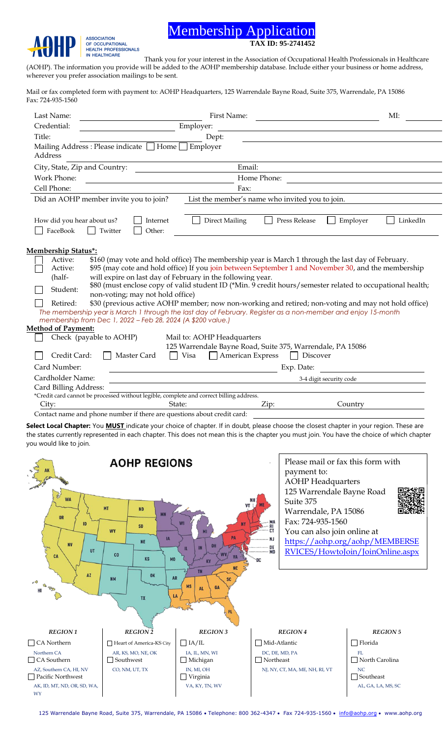## Membership Application **TAX ID: 95-2741452**

**ASSOCIATION** OF OCCUPATIONAL<br>HEALTH PROFESSIONALS<br>IN HEALTHCARE

Thank you for your interest in the Association of Occupational Health Professionals in Healthcare (AOHP). The information you provide will be added to the AOHP membership database. Include either your business or home address, wherever you prefer association mailings to be sent.

Mail or fax completed form with payment to: AOHP Headquarters, 125 Warrendale Bayne Road, Suite 375, Warrendale, PA 15086 Fax: 724-935-1560

| Last Name:                                                                                                                                                                  | First Name:                                                                                                                                                       |                                                                                         | MI:                     |                      |  |
|-----------------------------------------------------------------------------------------------------------------------------------------------------------------------------|-------------------------------------------------------------------------------------------------------------------------------------------------------------------|-----------------------------------------------------------------------------------------|-------------------------|----------------------|--|
| Credential:                                                                                                                                                                 | Employer:                                                                                                                                                         |                                                                                         |                         |                      |  |
| Title:                                                                                                                                                                      | Dept:                                                                                                                                                             |                                                                                         |                         |                      |  |
|                                                                                                                                                                             | Mailing Address: Please indicate [                                                                                                                                | $\Box$ Home $\Box$ Employer                                                             |                         |                      |  |
| Address                                                                                                                                                                     |                                                                                                                                                                   |                                                                                         |                         |                      |  |
| Email:<br>City, State, Zip and Country:                                                                                                                                     |                                                                                                                                                                   |                                                                                         |                         |                      |  |
| Work Phone:                                                                                                                                                                 | Home Phone:                                                                                                                                                       |                                                                                         |                         |                      |  |
| Cell Phone:                                                                                                                                                                 | Fax:                                                                                                                                                              |                                                                                         |                         |                      |  |
|                                                                                                                                                                             | List the member's name who invited you to join.<br>Did an AOHP member invite you to join?                                                                         |                                                                                         |                         |                      |  |
| How did you hear about us?<br>FaceBook                                                                                                                                      | Internet<br>Twitter<br>Other:                                                                                                                                     | <b>Direct Mailing</b>                                                                   | Press Release           | Employer<br>LinkedIn |  |
| <b>Membership Status*:</b>                                                                                                                                                  |                                                                                                                                                                   |                                                                                         |                         |                      |  |
| Active:                                                                                                                                                                     | \$160 (may vote and hold office) The membership year is March 1 through the last day of February.                                                                 |                                                                                         |                         |                      |  |
| Active:<br>(half-                                                                                                                                                           | \$95 (may cote and hold office) If you join between September 1 and November 30, and the membership<br>will expire on last day of February in the following year. |                                                                                         |                         |                      |  |
|                                                                                                                                                                             | \$80 (must enclose copy of valid student ID (*Min. 9 credit hours/semester related to occupational health;                                                        |                                                                                         |                         |                      |  |
| Student:                                                                                                                                                                    | non-voting; may not hold office)                                                                                                                                  |                                                                                         |                         |                      |  |
| Retired:                                                                                                                                                                    | \$30 (previous active AOHP member; now non-working and retired; non-voting and may not hold office)                                                               |                                                                                         |                         |                      |  |
| The membership year is March 1 through the last day of February. Register as a non-member and enjoy 15-month<br>membership from Dec 1, 2022 - Feb 28, 2024 (A \$200 value.) |                                                                                                                                                                   |                                                                                         |                         |                      |  |
| <b>Method of Payment:</b>                                                                                                                                                   |                                                                                                                                                                   |                                                                                         |                         |                      |  |
|                                                                                                                                                                             | Check (payable to AOHP)<br>Mail to: AOHP Headquarters                                                                                                             |                                                                                         |                         |                      |  |
| 125 Warrendale Bayne Road, Suite 375, Warrendale, PA 15086                                                                                                                  |                                                                                                                                                                   |                                                                                         |                         |                      |  |
| American Express<br>Credit Card:<br>Visa<br>Discover<br>Master Card                                                                                                         |                                                                                                                                                                   |                                                                                         |                         |                      |  |
| Card Number:                                                                                                                                                                | Exp. Date:                                                                                                                                                        |                                                                                         |                         |                      |  |
| Cardholder Name:                                                                                                                                                            |                                                                                                                                                                   |                                                                                         | 3-4 digit security code |                      |  |
| Card Billing Address:                                                                                                                                                       |                                                                                                                                                                   |                                                                                         |                         |                      |  |
|                                                                                                                                                                             |                                                                                                                                                                   | *Credit card cannot be processed without legible, complete and correct billing address. |                         |                      |  |
| City:                                                                                                                                                                       |                                                                                                                                                                   | State:                                                                                  | Zip:                    | Country              |  |
| Contact name and phone number if there are questions about credit card:                                                                                                     |                                                                                                                                                                   |                                                                                         |                         |                      |  |

**Select Local Chapter:** You **MUST** indicate your choice of chapter. If in doubt, please choose the closest chapter in your region. These are the states currently represented in each chapter. This does not mean this is the chapter you must join. You have the choice of which chapter you would like to join.



125 Warrendale Bayne Road, Suite 375, Warrendale, PA 15086 • Telephone: 800 362-4347 • Fax 724-935-1560 • [info@aohp.org](mailto:info@aohp.org) • www.aohp.org